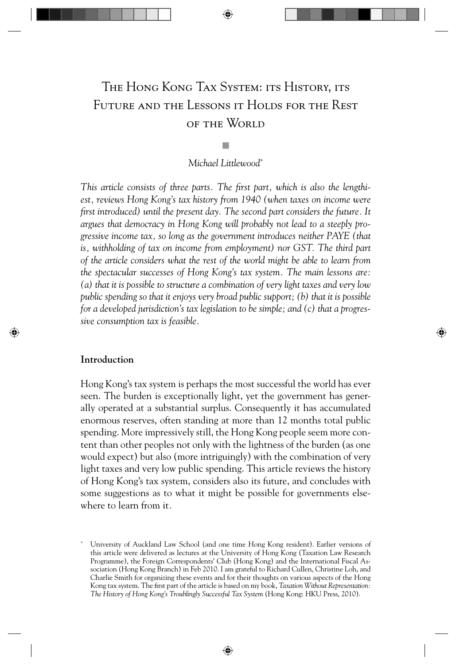# The Hong Kong Tax System: its History, its Future and the Lessons it Holds for the Rest of the World

Q *Michael Littlewood\**

This article consists of three parts. The first part, which is also the lengthi*est, reviews Hong Kong's tax history from 1940 (when taxes on income were first introduced) until the present day. The second part considers the future. It argues that democracy in Hong Kong will probably not lead to a steeply progressive income tax, so long as the government introduces neither PAYE (that is, withholding of tax on income from employment) nor GST. The third part of the article considers what the rest of the world might be able to learn from the spectacular successes of Hong Kong's tax system. The main lessons are: (a) that it is possible to structure a combination of very light taxes and very low public spending so that it enjoys very broad public support; (b) that it is possible for a developed jurisdiction's tax legislation to be simple; and (c) that a progressive consumption tax is feasible.*

⊕

# **Introduction**

⊕

Hong Kong's tax system is perhaps the most successful the world has ever seen. The burden is exceptionally light, yet the government has generally operated at a substantial surplus. Consequently it has accumulated enormous reserves, often standing at more than 12 months total public spending. More impressively still, the Hong Kong people seem more content than other peoples not only with the lightness of the burden (as one would expect) but also (more intriguingly) with the combination of very light taxes and very low public spending. This article reviews the history of Hong Kong's tax system, considers also its future, and concludes with some suggestions as to what it might be possible for governments elsewhere to learn from it*.*

<sup>\*</sup> University of Auckland Law School (and one time Hong Kong resident). Earlier versions of this article were delivered as lectures at the University of Hong Kong (Taxation Law Research Programme), the Foreign Correspondents' Club (Hong Kong) and the International Fiscal Association (Hong Kong Branch) in Feb 2010. I am grateful to Richard Cullen, Christine Loh, and Charlie Smith for organizing these events and for their thoughts on various aspects of the Hong Kong tax system. The first part of the article is based on my book, *Taxation Without Representation*: *The History of Hong Kong's Troublingly Successful Tax System* (Hong Kong: HKU Press, 2010).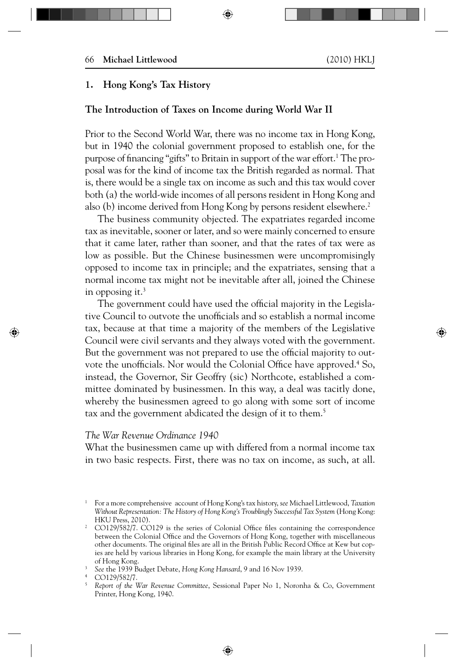# **1. Hong Kong's Tax History**

# **The Introduction of Taxes on Income during World War II**

Prior to the Second World War, there was no income tax in Hong Kong, but in 1940 the colonial government proposed to establish one, for the purpose of financing ''gifts'' to Britain in support of the war effort.<sup>1</sup> The proposal was for the kind of income tax the British regarded as normal. That is, there would be a single tax on income as such and this tax would cover both (a) the world-wide incomes of all persons resident in Hong Kong and also (b) income derived from Hong Kong by persons resident elsewhere.<sup>2</sup>

The business community objected. The expatriates regarded income tax as inevitable, sooner or later, and so were mainly concerned to ensure that it came later, rather than sooner, and that the rates of tax were as low as possible. But the Chinese businessmen were uncompromisingly opposed to income tax in principle; and the expatriates, sensing that a normal income tax might not be inevitable after all, joined the Chinese in opposing it. $3$ 

The government could have used the official majority in the Legislative Council to outvote the unofficials and so establish a normal income tax, because at that time a majority of the members of the Legislative Council were civil servants and they always voted with the government. But the government was not prepared to use the official majority to outvote the unofficials. Nor would the Colonial Office have approved.<sup>4</sup> So, instead, the Governor, Sir Geoffry (sic) Northcote, established a committee dominated by businessmen. In this way, a deal was tacitly done, whereby the businessmen agreed to go along with some sort of income tax and the government abdicated the design of it to them.<sup>5</sup>

# *The War Revenue Ordinance 1940*

What the businessmen came up with differed from a normal income tax in two basic respects. First, there was no tax on income, as such, at all.

⊕

<sup>1</sup> For a more comprehensive account of Hong Kong's tax history, *see* Michael Littlewood, *Taxation Without Representation: The History of Hong Kong's Troublingly Successful Tax System* (Hong Kong: HKU Press, 2010). 2

CO129/582/7. CO129 is the series of Colonial Office files containing the correspondence between the Colonial Office and the Governors of Hong Kong, together with miscellaneous other documents. The original files are all in the British Public Record Office at Kew but copies are held by various libraries in Hong Kong, for example the main library at the University of Hong Kong.

<sup>3</sup> *See* the 1939 Budget Debate, *Hong Kong Hansard*, 9 and 16 Nov 1939.

<sup>4</sup> CO129/582/7.

<sup>5</sup> *Report of the War Revenue Committee*, Sessional Paper No 1, Noronha & Co, Government Printer, Hong Kong, 1940.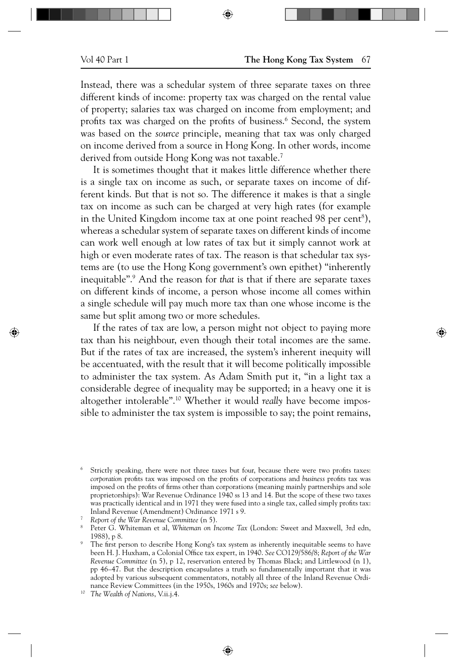⊕

Instead, there was a schedular system of three separate taxes on three different kinds of income: property tax was charged on the rental value of property; salaries tax was charged on income from employment; and profits tax was charged on the profits of business.<sup>6</sup> Second, the system was based on the *source* principle, meaning that tax was only charged on income derived from a source in Hong Kong. In other words, income derived from outside Hong Kong was not taxable.<sup>7</sup>

It is sometimes thought that it makes little difference whether there is a single tax on income as such, or separate taxes on income of different kinds. But that is not so. The difference it makes is that a single tax on income as such can be charged at very high rates (for example in the United Kingdom income tax at one point reached 98 per cent<sup>8</sup>), whereas a schedular system of separate taxes on different kinds of income can work well enough at low rates of tax but it simply cannot work at high or even moderate rates of tax. The reason is that schedular tax systems are (to use the Hong Kong government's own epithet) "inherently inequitable".9 And the reason for *that* is that if there are separate taxes on different kinds of income, a person whose income all comes within a single schedule will pay much more tax than one whose income is the same but split among two or more schedules.

If the rates of tax are low, a person might not object to paying more tax than his neighbour, even though their total incomes are the same. But if the rates of tax are increased, the system's inherent inequity will be accentuated, with the result that it will become politically impossible to administer the tax system. As Adam Smith put it, "in a light tax a considerable degree of inequality may be supported; in a heavy one it is altogether intolerable".10 Whether it would *really* have become impossible to administer the tax system is impossible to say; the point remains,

<sup>6</sup> Strictly speaking, there were not three taxes but four, because there were two profits taxes: *corporation* profits tax was imposed on the profits of corporations and *business* profits tax was imposed on the profits of firms other than corporations (meaning mainly partnerships and sole proprietorships): War Revenue Ordinance 1940 ss 13 and 14. But the scope of these two taxes was practically identical and in 1971 they were fused into a single tax, called simply profits tax: Inland Revenue (Amendment) Ordinance 1971 s 9.

<sup>7</sup> *Report of the War Revenue Committee* (n 5).

<sup>8</sup> Peter G. Whiteman et al, *Whiteman on Income Tax* (London: Sweet and Maxwell, 3rd edn, 1988), p 8.

<sup>9</sup> The first person to describe Hong Kong's tax system as inherently inequitable seems to have been H. J. Huxham, a Colonial Office tax expert, in 1940. See CO129/586/8; Report of the War *Revenue Committee* (n 5), p 12, reservation entered by Thomas Black; and Littlewood (n 1), pp 46–47. But the description encapsulates a truth so fundamentally important that it was adopted by various subsequent commentators, notably all three of the Inland Revenue Ordinance Review Committees (in the 1950s, 1960s and 1970s; *see* below).

<sup>10</sup> *The Wealth of Nations*, V.ii.j.4.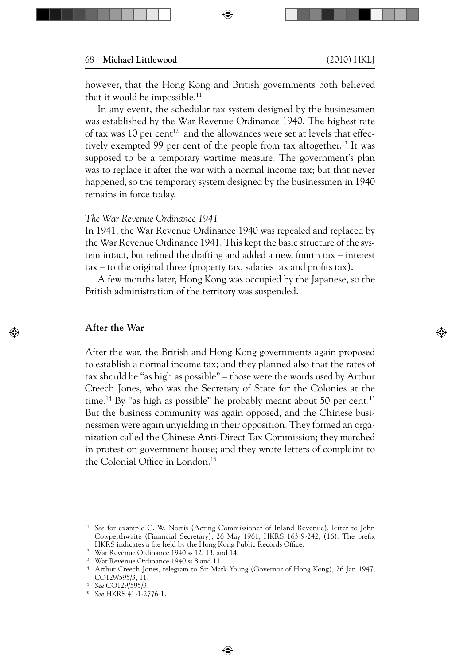⊕

however, that the Hong Kong and British governments both believed that it would be impossible.<sup>11</sup>

⊕

In any event, the schedular tax system designed by the businessmen was established by the War Revenue Ordinance 1940. The highest rate of tax was 10 per cent<sup>12</sup> and the allowances were set at levels that effectively exempted 99 per cent of the people from tax altogether.<sup>13</sup> It was supposed to be a temporary wartime measure. The government's plan was to replace it after the war with a normal income tax; but that never happened, so the temporary system designed by the businessmen in 1940 remains in force today.

#### *The War Revenue Ordinance 1941*

In 1941, the War Revenue Ordinance 1940 was repealed and replaced by the War Revenue Ordinance 1941. This kept the basic structure of the system intact, but refined the drafting and added a new, fourth tax – interest  $tax - to the original three (property tax, salaries tax and profits tax).$ 

A few months later, Hong Kong was occupied by the Japanese, so the British administration of the territory was suspended.

### **After the War**

↔

After the war, the British and Hong Kong governments again proposed to establish a normal income tax; and they planned also that the rates of tax should be "as high as possible" – those were the words used by Arthur Creech Jones, who was the Secretary of State for the Colonies at the time.<sup>14</sup> By "as high as possible" he probably meant about 50 per cent.<sup>15</sup> But the business community was again opposed, and the Chinese businessmen were again unyielding in their opposition. They formed an organization called the Chinese Anti-Direct Tax Commission; they marched in protest on government house; and they wrote letters of complaint to the Colonial Office in London.<sup>16</sup>

<sup>&</sup>lt;sup>11</sup> See for example C. W. Norris (Acting Commissioner of Inland Revenue), letter to John Cowperthwaite (Financial Secretary), 26 May 1961, HKRS 163-9-242, (16). The prefix HKRS indicates a file held by the Hong Kong Public Records Office.

<sup>&</sup>lt;sup>12</sup> War Revenue Ordinance 1940 ss 12, 13, and 14.

<sup>&</sup>lt;sup>13</sup> War Revenue Ordinance 1940 ss 8 and 11.

<sup>14</sup> Arthur Creech Jones, telegram to Sir Mark Young (Governor of Hong Kong), 26 Jan 1947, CO129/595/3, 11.

<sup>15</sup> *See* CO129/595/3.

<sup>16</sup> *See* HKRS 41-1-2776-1.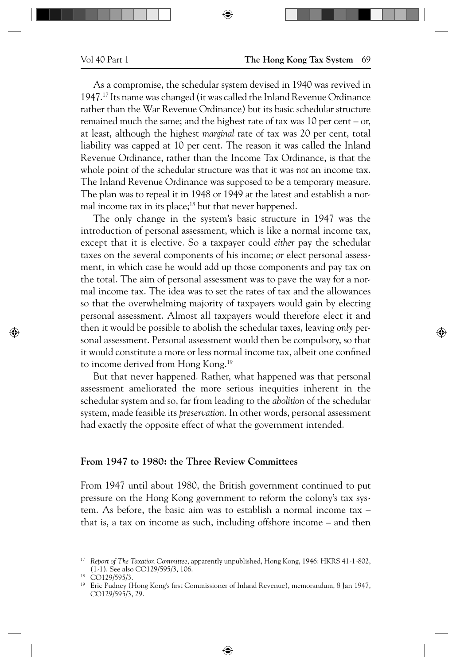↔

⊕

As a compromise, the schedular system devised in 1940 was revived in 1947.17 Its name was changed (it was called the Inland Revenue Ordinance rather than the War Revenue Ordinance) but its basic schedular structure remained much the same; and the highest rate of tax was 10 per cent – or, at least, although the highest *marginal* rate of tax was 20 per cent, total liability was capped at 10 per cent. The reason it was called the Inland Revenue Ordinance, rather than the Income Tax Ordinance, is that the whole point of the schedular structure was that it was *not* an income tax. The Inland Revenue Ordinance was supposed to be a temporary measure. The plan was to repeal it in 1948 or 1949 at the latest and establish a normal income tax in its place; $18$  but that never happened.

⊕

The only change in the system's basic structure in 1947 was the introduction of personal assessment, which is like a normal income tax, except that it is elective. So a taxpayer could *either* pay the schedular taxes on the several components of his income; *or* elect personal assessment, in which case he would add up those components and pay tax on the total. The aim of personal assessment was to pave the way for a normal income tax. The idea was to set the rates of tax and the allowances so that the overwhelming majority of taxpayers would gain by electing personal assessment. Almost all taxpayers would therefore elect it and then it would be possible to abolish the schedular taxes, leaving *only* personal assessment. Personal assessment would then be compulsory, so that it would constitute a more or less normal income tax, albeit one confined to income derived from Hong Kong.<sup>19</sup>

But that never happened. Rather, what happened was that personal assessment ameliorated the more serious inequities inherent in the schedular system and so, far from leading to the *abolition* of the schedular system, made feasible its *preservation*. In other words, personal assessment had exactly the opposite effect of what the government intended.

# **From 1947 to 1980: the Three Review Committees**

From 1947 until about 1980, the British government continued to put pressure on the Hong Kong government to reform the colony's tax system. As before, the basic aim was to establish a normal income tax – that is, a tax on income as such, including offshore income – and then

<sup>17</sup> *Report of The Taxation Committee*, apparently unpublished, Hong Kong, 1946: HKRS 41-1-802, (1-1). See also CO129/595/3, 106.

<sup>18</sup> CO129/595/3.

<sup>&</sup>lt;sup>19</sup> Eric Pudney (Hong Kong's first Commissioner of Inland Revenue), memorandum, 8 Jan 1947, CO129/595/3, 29.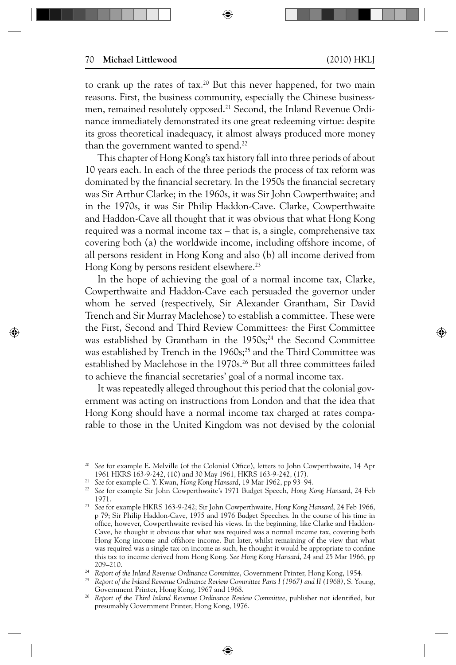⊕

⊕

to crank up the rates of tax.<sup>20</sup> But this never happened, for two main reasons. First, the business community, especially the Chinese businessmen, remained resolutely opposed.<sup>21</sup> Second, the Inland Revenue Ordinance immediately demonstrated its one great redeeming virtue: despite its gross theoretical inadequacy, it almost always produced more money than the government wanted to spend.<sup>22</sup>

This chapter of Hong Kong's tax history fall into three periods of about 10 years each. In each of the three periods the process of tax reform was dominated by the financial secretary. In the 1950s the financial secretary was Sir Arthur Clarke; in the 1960s, it was Sir John Cowperthwaite; and in the 1970s, it was Sir Philip Haddon-Cave. Clarke, Cowperthwaite and Haddon-Cave all thought that it was obvious that what Hong Kong required was a normal income tax – that is, a single, comprehensive tax covering both (a) the worldwide income, including offshore income, of all persons resident in Hong Kong and also (b) all income derived from Hong Kong by persons resident elsewhere.<sup>23</sup>

In the hope of achieving the goal of a normal income tax, Clarke, Cowperthwaite and Haddon-Cave each persuaded the governor under whom he served (respectively, Sir Alexander Grantham, Sir David Trench and Sir Murray Maclehose) to establish a committee. These were the First, Second and Third Review Committees: the First Committee was established by Grantham in the 1950s;<sup>24</sup> the Second Committee was established by Trench in the 1960s;<sup>25</sup> and the Third Committee was established by Maclehose in the 1970s.<sup>26</sup> But all three committees failed to achieve the financial secretaries' goal of a normal income tax.

It was repeatedly alleged throughout this period that the colonial government was acting on instructions from London and that the idea that Hong Kong should have a normal income tax charged at rates comparable to those in the United Kingdom was not devised by the colonial

<sup>&</sup>lt;sup>20</sup> See for example E. Melville (of the Colonial Office), letters to John Cowperthwaite, 14 Apr 1961 HKRS 163-9-242, (10) and 30 May 1961, HKRS 163-9-242, (17).

<sup>21</sup> *See* for example C. Y. Kwan, *Hong Kong Hansard*, 19 Mar 1962, pp 93–94.

<sup>22</sup> *See* for example Sir John Cowperthwaite's 1971 Budget Speech, *Hong Kong Hansard*, 24 Feb 1971.

<sup>23</sup> *See* for example HKRS 163-9-242; Sir John Cowperthwaite, *Hong Kong Hansard*, 24 Feb 1966, p 79; Sir Philip Haddon-Cave, 1975 and 1976 Budget Speeches. In the course of his time in office, however, Cowperthwaite revised his views. In the beginning, like Clarke and Haddon-Cave, he thought it obvious that what was required was a normal income tax, covering both Hong Kong income and offshore income. But later, whilst remaining of the view that what was required was a single tax on income as such, he thought it would be appropriate to confine this tax to income derived from Hong Kong. *See Hong Kong Hansard*, 24 and 25 Mar 1966, pp 209–210.

<sup>24</sup> *Report of the Inland Revenue Ordinance Committee*, Government Printer, Hong Kong, 1954.

<sup>25</sup> *Report of the Inland Revenue Ordinance Review Committee Parts I (1967) and II (1968)*, S. Young, Government Printer, Hong Kong, 1967 and 1968.

Report of the Third Inland Revenue Ordinance Review Committee, publisher not identified, but presumably Government Printer, Hong Kong, 1976.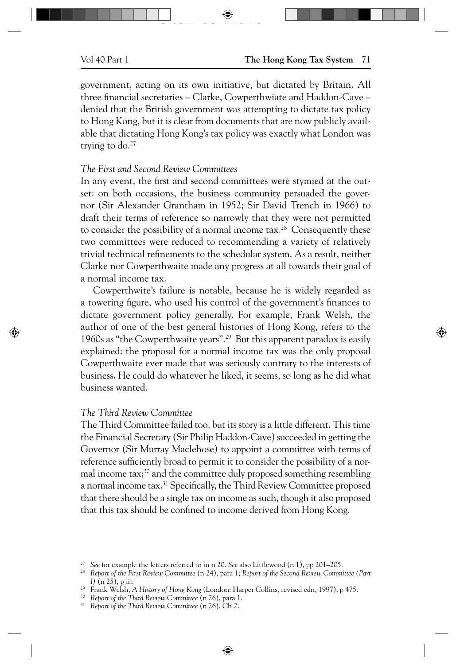government, acting on its own initiative, but dictated by Britain. All three financial secretaries – Clarke, Cowperthwiate and Haddon-Cave – denied that the British government was attempting to dictate tax policy to Hong Kong, but it is clear from documents that are now publicly available that dictating Hong Kong's tax policy was exactly what London was trying to  $do.^{27}$ 

 $\Box$  star to  $\bigoplus$ 

# *The First and Second Review Committees*

In any event, the first and second committees were stymied at the outset: on both occasions, the business community persuaded the governor (Sir Alexander Grantham in 1952; Sir David Trench in 1966) to draft their terms of reference so narrowly that they were not permitted to consider the possibility of a normal income tax.<sup>28</sup> Consequently these two committees were reduced to recommending a variety of relatively trivial technical refinements to the schedular system. As a result, neither Clarke nor Cowperthwaite made any progress at all towards their goal of a normal income tax.

Cowperthwite's failure is notable, because he is widely regarded as a towering figure, who used his control of the government's finances to dictate government policy generally. For example, Frank Welsh, the author of one of the best general histories of Hong Kong, refers to the 1960s as "the Cowperthwaite years".29 But this apparent paradox is easily explained: the proposal for a normal income tax was the only proposal Cowperthwaite ever made that was seriously contrary to the interests of business. He could do whatever he liked, it seems, so long as he did what business wanted.

# *The Third Review Committee*

⊕

The Third Committee failed too, but its story is a little different. This time the Financial Secretary (Sir Philip Haddon-Cave) succeeded in getting the Governor (Sir Murray Maclehose) to appoint a committee with terms of reference sufficiently broad to permit it to consider the possibility of a normal income  $\text{tax};^{30}$  and the committee duly proposed something resembling a normal income tax.<sup>31</sup> Specifically, the Third Review Committee proposed that there should be a single tax on income as such, though it also proposed that this tax should be confined to income derived from Hong Kong.

⊕

<sup>30</sup> *Report of the Third Review Committee* (n 26), para 1.

<sup>31</sup> *Report of the Third Review Committee* (n 26), Ch 2.

<sup>27</sup> *See* for example the letters referred to in n 20. *See* also Littlewood (n 1), pp 201–205.

<sup>28</sup> *Report of the First Review Committee* (n 24), para 1; *Report of the Second Review Committee (Part I)* (n 25), p iii.

<sup>29</sup> Frank Welsh, *A History of Hong Kong* (London: Harper Collins, revised edn, 1997), p 475.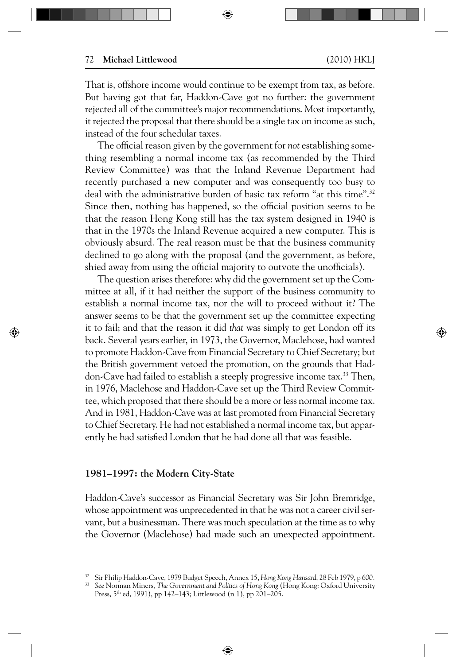↔

⊕

That is, offshore income would continue to be exempt from tax, as before. But having got that far, Haddon-Cave got no further: the government rejected all of the committee's major recommendations. Most importantly, it rejected the proposal that there should be a single tax on income as such, instead of the four schedular taxes.

⊕

The official reason given by the government for *not* establishing something resembling a normal income tax (as recommended by the Third Review Committee) was that the Inland Revenue Department had recently purchased a new computer and was consequently too busy to deal with the administrative burden of basic tax reform "at this time".<sup>32</sup> Since then, nothing has happened, so the official position seems to be that the reason Hong Kong still has the tax system designed in 1940 is that in the 1970s the Inland Revenue acquired a new computer. This is obviously absurd. The real reason must be that the business community declined to go along with the proposal (and the government, as before, shied away from using the official majority to outvote the unofficials).

The question arises therefore: why did the government set up the Committee at all, if it had neither the support of the business community to establish a normal income tax, nor the will to proceed without it? The answer seems to be that the government set up the committee expecting it to fail; and that the reason it did *that* was simply to get London off its back. Several years earlier, in 1973, the Governor, Maclehose, had wanted to promote Haddon-Cave from Financial Secretary to Chief Secretary; but the British government vetoed the promotion, on the grounds that Haddon-Cave had failed to establish a steeply progressive income tax.<sup>33</sup> Then, in 1976, Maclehose and Haddon-Cave set up the Third Review Committee, which proposed that there should be a more or less normal income tax. And in 1981, Haddon-Cave was at last promoted from Financial Secretary to Chief Secretary. He had not established a normal income tax, but apparently he had satisfied London that he had done all that was feasible.

### **1981–1997: the Modern City-State**

Haddon-Cave's successor as Financial Secretary was Sir John Bremridge, whose appointment was unprecedented in that he was not a career civil servant, but a businessman. There was much speculation at the time as to why the Governor (Maclehose) had made such an unexpected appointment.

<sup>32</sup> Sir Philip Haddon-Cave, 1979 Budget Speech, Annex 15, *Hong Kong Hansard*, 28 Feb 1979, p *600.*

<sup>33</sup> *See* Norman Miners, *The Government and Politics of Hong Kong* (Hong Kong: Oxford University Press, 5<sup>th</sup> ed, 1991), pp 142–143; Littlewood (n 1), pp 201–205.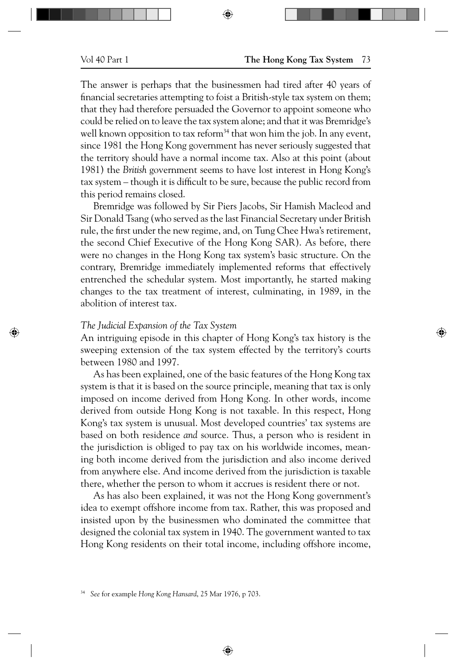⊕

The answer is perhaps that the businessmen had tired after 40 years of financial secretaries attempting to foist a British-style tax system on them; that they had therefore persuaded the Governor to appoint someone who could be relied on to leave the tax system alone; and that it was Bremridge's well known opposition to tax reform<sup>34</sup> that won him the job. In any event, since 1981 the Hong Kong government has never seriously suggested that the territory should have a normal income tax. Also at this point (about 1981) the *British* government seems to have lost interest in Hong Kong's tax system – though it is difficult to be sure, because the public record from this period remains closed.

⊕

Bremridge was followed by Sir Piers Jacobs, Sir Hamish Macleod and Sir Donald Tsang (who served as the last Financial Secretary under British rule, the first under the new regime, and, on Tung Chee Hwa's retirement, the second Chief Executive of the Hong Kong SAR). As before, there were no changes in the Hong Kong tax system's basic structure. On the contrary, Bremridge immediately implemented reforms that effectively entrenched the schedular system. Most importantly, he started making changes to the tax treatment of interest, culminating, in 1989, in the abolition of interest tax.

## *The Judicial Expansion of the Tax System*

An intriguing episode in this chapter of Hong Kong's tax history is the sweeping extension of the tax system effected by the territory's courts between 1980 and 1997.

As has been explained, one of the basic features of the Hong Kong tax system is that it is based on the source principle, meaning that tax is only imposed on income derived from Hong Kong. In other words, income derived from outside Hong Kong is not taxable. In this respect, Hong Kong's tax system is unusual. Most developed countries' tax systems are based on both residence *and* source. Thus, a person who is resident in the jurisdiction is obliged to pay tax on his worldwide incomes, meaning both income derived from the jurisdiction and also income derived from anywhere else. And income derived from the jurisdiction is taxable there, whether the person to whom it accrues is resident there or not.

As has also been explained, it was not the Hong Kong government's idea to exempt offshore income from tax. Rather, this was proposed and insisted upon by the businessmen who dominated the committee that designed the colonial tax system in 1940. The government wanted to tax Hong Kong residents on their total income, including offshore income,

 $\bigoplus$ 

<sup>34</sup> *See* for example *Hong Kong Hansard*, 25 Mar 1976, p 703.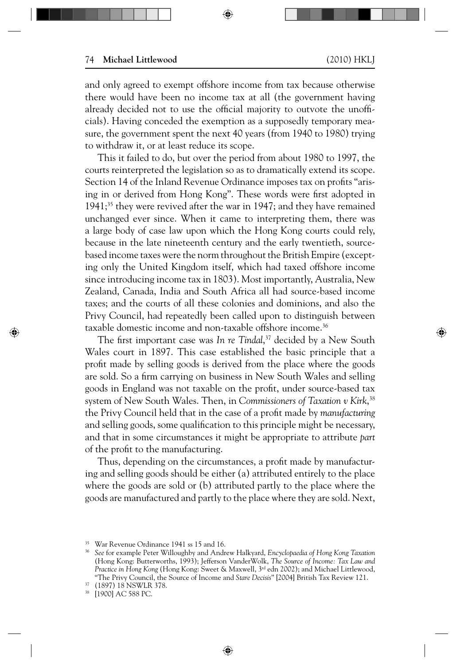⊕

and only agreed to exempt offshore income from tax because otherwise there would have been no income tax at all (the government having already decided not to use the official majority to outvote the unofficials). Having conceded the exemption as a supposedly temporary measure, the government spent the next 40 years (from 1940 to 1980) trying to withdraw it, or at least reduce its scope.

⊕

This it failed to do, but over the period from about 1980 to 1997, the courts reinterpreted the legislation so as to dramatically extend its scope. Section 14 of the Inland Revenue Ordinance imposes tax on profits "arising in or derived from Hong Kong". These words were first adopted in 1941;<sup>35</sup> they were revived after the war in 1947; and they have remained unchanged ever since. When it came to interpreting them, there was a large body of case law upon which the Hong Kong courts could rely, because in the late nineteenth century and the early twentieth, sourcebased income taxes were the norm throughout the British Empire (excepting only the United Kingdom itself, which had taxed offshore income since introducing income tax in 1803). Most importantly, Australia, New Zealand, Canada, India and South Africa all had source-based income taxes; and the courts of all these colonies and dominions, and also the Privy Council, had repeatedly been called upon to distinguish between taxable domestic income and non-taxable offshore income.<sup>36</sup>

The first important case was *In re Tindal*,<sup>37</sup> decided by a New South Wales court in 1897. This case established the basic principle that a profit made by selling goods is derived from the place where the goods are sold. So a firm carrying on business in New South Wales and selling goods in England was not taxable on the profit, under source-based tax system of New South Wales. Then, in *Commissioners of Taxation v Kirk*, 38 the Privy Council held that in the case of a profi t made by *manufacturing*  and selling goods, some qualification to this principle might be necessary, and that in some circumstances it might be appropriate to attribute *part*  of the profit to the manufacturing.

Thus, depending on the circumstances, a profit made by manufacturing and selling goods should be either (a) attributed entirely to the place where the goods are sold or (b) attributed partly to the place where the goods are manufactured and partly to the place where they are sold. Next,

⊕

↔

<sup>35</sup> War Revenue Ordinance 1941 ss 15 and 16.

<sup>36</sup> *See* for example Peter Willoughby and Andrew Halkyard, *Encyclopaedia of Hong Kong Taxation*  (Hong Kong: Butterworths, 1993); Jefferson VanderWolk, *The Source of Income: Tax Law and Practice in Hong Kong* (Hong Kong: Sweet & Maxwell, 3rd edn 2002); and Michael Littlewood, "The Privy Council, the Source of Income and *Stare Decisis*" [2004] British Tax Review 121.

 $^{37}$  (1897) 18 NSWLR 378.<br><sup>38</sup> [1900] AC 588 PC

<sup>[1900]</sup> AC 588 PC.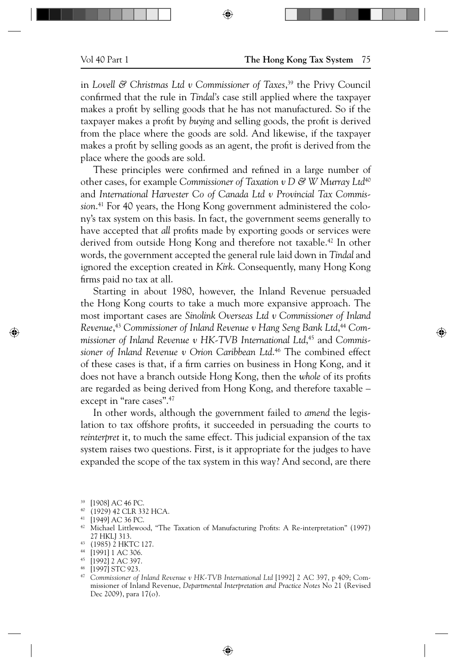in *Lovell & Christmas Ltd v Commissioner of Taxes*, 39 the Privy Council confirmed that the rule in *Tindal's* case still applied where the taxpayer makes a profit by selling goods that he has not manufactured. So if the taxpayer makes a profit by *buying* and selling goods, the profit is derived from the place where the goods are sold. And likewise, if the taxpayer makes a profit by selling goods as an agent, the profit is derived from the place where the goods are sold.

⊕

These principles were confirmed and refined in a large number of other cases, for example *Commissioner of Taxation v D & W Murray Ltd*<sup>40</sup> and *International Harvester Co of Canada Ltd v Provincial Tax Commission*. 41 For 40 years, the Hong Kong government administered the colony's tax system on this basis. In fact, the government seems generally to have accepted that *all* profits made by exporting goods or services were derived from outside Hong Kong and therefore not taxable.<sup>42</sup> In other words, the government accepted the general rule laid down in *Tindal* and ignored the exception created in *Kirk*. Consequently, many Hong Kong firms paid no tax at all.

Starting in about 1980, however, the Inland Revenue persuaded the Hong Kong courts to take a much more expansive approach. The most important cases are *Sinolink Overseas Ltd v Commissioner of Inland Revenue*, <sup>43</sup> *Commissioner of Inland Revenue v Hang Seng Bank Ltd*, <sup>44</sup> *Commissioner of Inland Revenue v HK-TVB International Ltd*, 45 and *Commissioner of Inland Revenue v Orion Caribbean Ltd*. 46 The combined effect of these cases is that, if a firm carries on business in Hong Kong, and it does not have a branch outside Hong Kong, then the *whole* of its profits are regarded as being derived from Hong Kong, and therefore taxable – except in "rare cases".<sup>47</sup>

In other words, although the government failed to *amend* the legislation to tax offshore profits, it succeeded in persuading the courts to *reinterpret* it, to much the same effect. This judicial expansion of the tax system raises two questions. First, is it appropriate for the judges to have expanded the scope of the tax system in this way? And second, are there

⊕

 $^{39}$  [1908] AC 46 PC.

 $^{40}$  (1929) 42 CLR 332 HCA.<br> $^{41}$  [1949] AC 36 PC

<sup>&</sup>lt;sup>41</sup>  $[1949]$  AC 36 PC.<br><sup>42</sup> Michael Littlewood

Michael Littlewood, "The Taxation of Manufacturing Profits: A Re-interpretation" (1997) 27 HKLJ 313.

<sup>43 (1985) 2</sup> HKTC 127.

<sup>44 [1991] 1</sup> AC 306. 45 [1992] 2 AC 397.

<sup>46 [1997]</sup> STC 923.

<sup>&</sup>lt;sup>47</sup> Commissioner of Inland Revenue v HK-TVB International Ltd [1992] 2 AC 397, p 409; Commissioner of Inland Revenue, *Departmental Interpretation and Practice Notes* No 21 (Revised Dec 2009), para 17(o).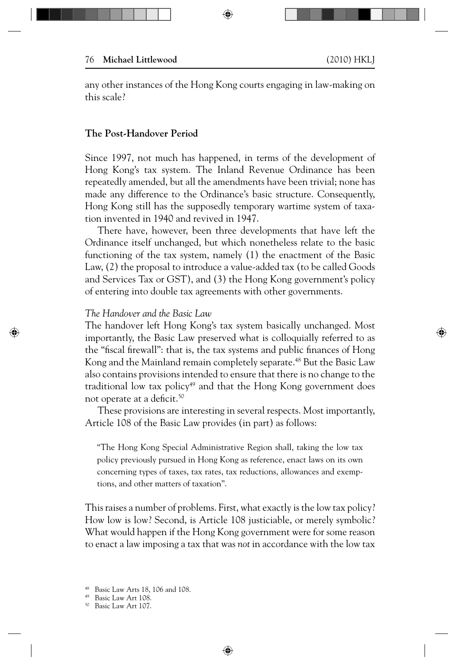any other instances of the Hong Kong courts engaging in law-making on this scale?

⊕

## **The Post-Handover Period**

Since 1997, not much has happened, in terms of the development of Hong Kong's tax system. The Inland Revenue Ordinance has been repeatedly amended, but all the amendments have been trivial; none has made any difference to the Ordinance's basic structure. Consequently, Hong Kong still has the supposedly temporary wartime system of taxation invented in 1940 and revived in 1947.

There have, however, been three developments that have left the Ordinance itself unchanged, but which nonetheless relate to the basic functioning of the tax system, namely (1) the enactment of the Basic Law, (2) the proposal to introduce a value-added tax (to be called Goods and Services Tax or GST), and (3) the Hong Kong government's policy of entering into double tax agreements with other governments.

### *The Handover and the Basic Law*

⊕

The handover left Hong Kong's tax system basically unchanged. Most importantly, the Basic Law preserved what is colloquially referred to as the "fiscal firewall": that is, the tax systems and public finances of Hong Kong and the Mainland remain completely separate.<sup>48</sup> But the Basic Law also contains provisions intended to ensure that there is no change to the traditional low tax policy<sup>49</sup> and that the Hong Kong government does not operate at a deficit.<sup>50</sup>

These provisions are interesting in several respects. Most importantly, Article 108 of the Basic Law provides (in part) as follows:

"The Hong Kong Special Administrative Region shall, taking the low tax policy previously pursued in Hong Kong as reference, enact laws on its own concerning types of taxes, tax rates, tax reductions, allowances and exemptions, and other matters of taxation".

This raises a number of problems. First, what exactly is the low tax policy? How low is low? Second, is Article 108 justiciable, or merely symbolic? What would happen if the Hong Kong government were for some reason to enact a law imposing a tax that was *not* in accordance with the low tax

Basic Law Arts 18, 106 and 108.

<sup>49</sup> Basic Law Art 108.

<sup>50</sup> Basic Law Art 107.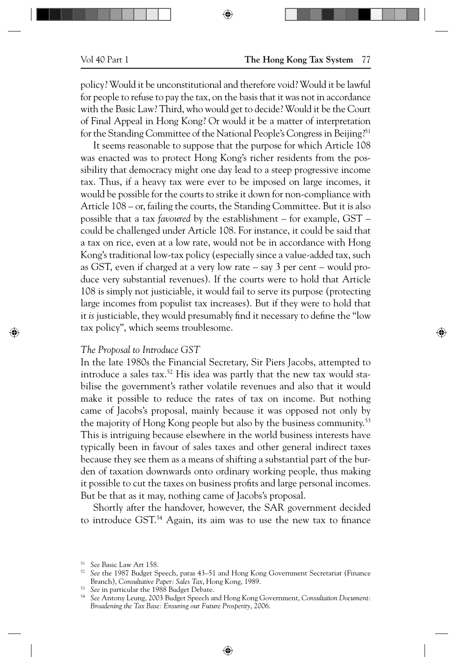policy? Would it be unconstitutional and therefore void? Would it be lawful for people to refuse to pay the tax, on the basis that it was not in accordance with the Basic Law? Third, who would get to decide? Would it be the Court of Final Appeal in Hong Kong? Or would it be a matter of interpretation for the Standing Committee of the National People's Congress in Beijing?<sup>51</sup>

⊕

It seems reasonable to suppose that the purpose for which Article 108 was enacted was to protect Hong Kong's richer residents from the possibility that democracy might one day lead to a steep progressive income tax. Thus, if a heavy tax were ever to be imposed on large incomes, it would be possible for the courts to strike it down for non-compliance with Article 108 – or, failing the courts, the Standing Committee. But it is also possible that a tax *favoured* by the establishment – for example, GST – could be challenged under Article 108. For instance, it could be said that a tax on rice, even at a low rate, would not be in accordance with Hong Kong's traditional low-tax policy (especially since a value-added tax, such as GST, even if charged at a very low rate – say 3 per cent – would produce very substantial revenues). If the courts were to hold that Article 108 is simply not justiciable, it would fail to serve its purpose (protecting large incomes from populist tax increases). But if they were to hold that it *is* justiciable, they would presumably find it necessary to define the "low tax policy", which seems troublesome.

#### *The Proposal to Introduce GST*

⊕

In the late 1980s the Financial Secretary, Sir Piers Jacobs, attempted to introduce a sales tax.<sup>52</sup> His idea was partly that the new tax would stabilise the government's rather volatile revenues and also that it would make it possible to reduce the rates of tax on income. But nothing came of Jacobs's proposal, mainly because it was opposed not only by the majority of Hong Kong people but also by the business community.<sup>53</sup> This is intriguing because elsewhere in the world business interests have typically been in favour of sales taxes and other general indirect taxes because they see them as a means of shifting a substantial part of the burden of taxation downwards onto ordinary working people, thus making it possible to cut the taxes on business profits and large personal incomes. But be that as it may, nothing came of Jacobs's proposal.

Shortly after the handover, however, the SAR government decided to introduce GST.<sup>54</sup> Again, its aim was to use the new tax to finance

<sup>51</sup> *See* Basic Law Art 158.

<sup>52</sup> *See* the 1987 Budget Speech, paras 43–51 and Hong Kong Government Secretariat (Finance Branch), *Consultative Paper: Sales Tax*, Hong Kong, 1989.

<sup>53</sup> *See* in particular the 1988 Budget Debate.

<sup>54</sup> *See* Antony Leung, 2003 Budget Speech and Hong Kong Government, *Consultation Document: Broadening the Tax Base: Ensuring our Future Prosperity*, 2006.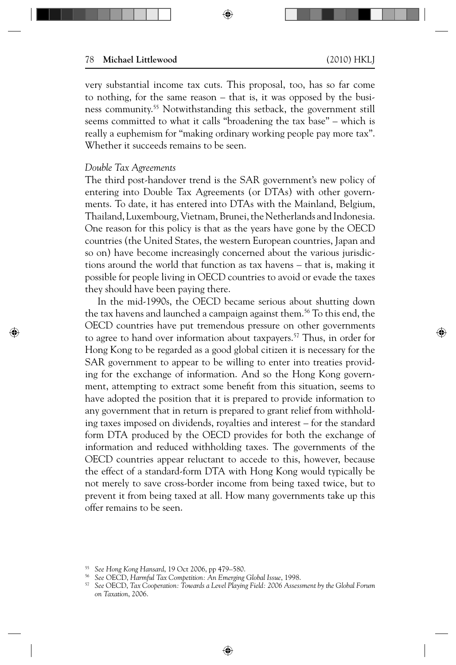⊕

very substantial income tax cuts. This proposal, too, has so far come to nothing, for the same reason – that is, it was opposed by the business community.55 Notwithstanding this setback, the government still seems committed to what it calls "broadening the tax base" – which is really a euphemism for "making ordinary working people pay more tax". Whether it succeeds remains to be seen.

⊕

### *Double Tax Agreements*

⊕

The third post-handover trend is the SAR government's new policy of entering into Double Tax Agreements (or DTAs) with other governments. To date, it has entered into DTAs with the Mainland, Belgium, Thailand, Luxembourg, Vietnam, Brunei, the Netherlands and Indonesia. One reason for this policy is that as the years have gone by the OECD countries (the United States, the western European countries, Japan and so on) have become increasingly concerned about the various jurisdictions around the world that function as tax havens – that is, making it possible for people living in OECD countries to avoid or evade the taxes they should have been paying there.

In the mid-1990s, the OECD became serious about shutting down the tax havens and launched a campaign against them.<sup>56</sup> To this end, the OECD countries have put tremendous pressure on other governments to agree to hand over information about taxpayers.<sup>57</sup> Thus, in order for Hong Kong to be regarded as a good global citizen it is necessary for the SAR government to appear to be willing to enter into treaties providing for the exchange of information. And so the Hong Kong government, attempting to extract some benefit from this situation, seems to have adopted the position that it is prepared to provide information to any government that in return is prepared to grant relief from withholding taxes imposed on dividends, royalties and interest – for the standard form DTA produced by the OECD provides for both the exchange of information and reduced withholding taxes. The governments of the OECD countries appear reluctant to accede to this, however, because the effect of a standard-form DTA with Hong Kong would typically be not merely to save cross-border income from being taxed twice, but to prevent it from being taxed at all. How many governments take up this offer remains to be seen.

<sup>55</sup> *See Hong Kong Hansard*, 19 Oct 2006, pp 479–580.

<sup>56</sup> *See* OECD, *Harmful Tax Competition: An Emerging Global Issue*, 1998.

<sup>57</sup> *See* OECD, *Tax Cooperation: Towards a Level Playing Field: 2006 Assessment by the Global Forum on Taxation*, 2006.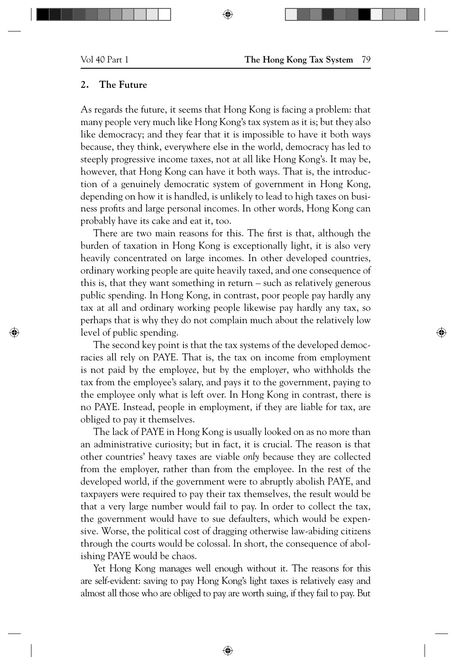⊕

# **2. The Future**

As regards the future, it seems that Hong Kong is facing a problem: that many people very much like Hong Kong's tax system as it is; but they also like democracy; and they fear that it is impossible to have it both ways because, they think, everywhere else in the world, democracy has led to steeply progressive income taxes, not at all like Hong Kong's. It may be, however, that Hong Kong can have it both ways. That is, the introduction of a genuinely democratic system of government in Hong Kong, depending on how it is handled, is unlikely to lead to high taxes on business profits and large personal incomes. In other words, Hong Kong can probably have its cake and eat it, too.

⊕

There are two main reasons for this. The first is that, although the burden of taxation in Hong Kong is exceptionally light, it is also very heavily concentrated on large incomes. In other developed countries, ordinary working people are quite heavily taxed, and one consequence of this is, that they want something in return – such as relatively generous public spending. In Hong Kong, in contrast, poor people pay hardly any tax at all and ordinary working people likewise pay hardly any tax, so perhaps that is why they do not complain much about the relatively low level of public spending.

The second key point is that the tax systems of the developed democracies all rely on PAYE. That is, the tax on income from employment is not paid by the employ*ee*, but by the employ*er*, who withholds the tax from the employee's salary, and pays it to the government, paying to the employee only what is left over. In Hong Kong in contrast, there is no PAYE. Instead, people in employment, if they are liable for tax, are obliged to pay it themselves.

The lack of PAYE in Hong Kong is usually looked on as no more than an administrative curiosity; but in fact, it is crucial. The reason is that other countries' heavy taxes are viable *only* because they are collected from the employer, rather than from the employee. In the rest of the developed world, if the government were to abruptly abolish PAYE, and taxpayers were required to pay their tax themselves, the result would be that a very large number would fail to pay. In order to collect the tax, the government would have to sue defaulters, which would be expensive. Worse, the political cost of dragging otherwise law-abiding citizens through the courts would be colossal. In short, the consequence of abolishing PAYE would be chaos.

Yet Hong Kong manages well enough without it. The reasons for this are self-evident: saving to pay Hong Kong's light taxes is relatively easy and almost all those who are obliged to pay are worth suing, if they fail to pay. But

 $\bigoplus$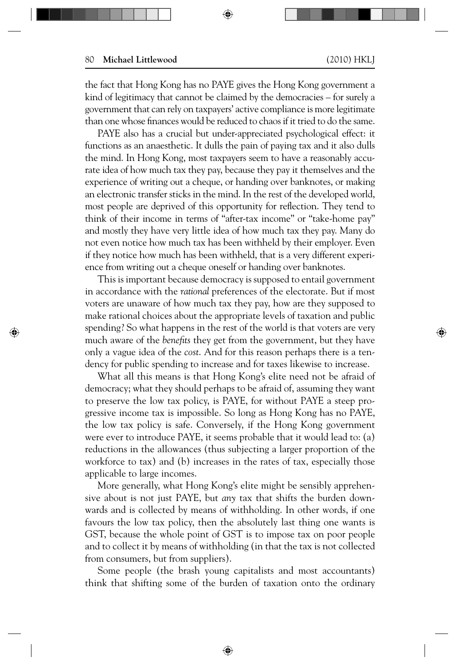⊕

⊕

the fact that Hong Kong has no PAYE gives the Hong Kong government a kind of legitimacy that cannot be claimed by the democracies – for surely a government that can rely on taxpayers' active compliance is more legitimate than one whose finances would be reduced to chaos if it tried to do the same.

⊕

PAYE also has a crucial but under-appreciated psychological effect: it functions as an anaesthetic. It dulls the pain of paying tax and it also dulls the mind. In Hong Kong, most taxpayers seem to have a reasonably accurate idea of how much tax they pay, because they pay it themselves and the experience of writing out a cheque, or handing over banknotes, or making an electronic transfer sticks in the mind. In the rest of the developed world, most people are deprived of this opportunity for reflection. They tend to think of their income in terms of "after-tax income" or "take-home pay" and mostly they have very little idea of how much tax they pay. Many do not even notice how much tax has been withheld by their employer. Even if they notice how much has been withheld, that is a very different experience from writing out a cheque oneself or handing over banknotes.

This is important because democracy is supposed to entail government in accordance with the *rational* preferences of the electorate. But if most voters are unaware of how much tax they pay, how are they supposed to make rational choices about the appropriate levels of taxation and public spending? So what happens in the rest of the world is that voters are very much aware of the *benefits* they get from the government, but they have only a vague idea of the *cost*. And for this reason perhaps there is a tendency for public spending to increase and for taxes likewise to increase.

What all this means is that Hong Kong's elite need not be afraid of democracy; what they should perhaps to be afraid of, assuming they want to preserve the low tax policy, is PAYE, for without PAYE a steep progressive income tax is impossible. So long as Hong Kong has no PAYE, the low tax policy is safe. Conversely, if the Hong Kong government were ever to introduce PAYE, it seems probable that it would lead to: (a) reductions in the allowances (thus subjecting a larger proportion of the workforce to tax) and (b) increases in the rates of tax, especially those applicable to large incomes.

More generally, what Hong Kong's elite might be sensibly apprehensive about is not just PAYE, but *any* tax that shifts the burden downwards and is collected by means of withholding. In other words, if one favours the low tax policy, then the absolutely last thing one wants is GST, because the whole point of GST is to impose tax on poor people and to collect it by means of withholding (in that the tax is not collected from consumers, but from suppliers).

Some people (the brash young capitalists and most accountants) think that shifting some of the burden of taxation onto the ordinary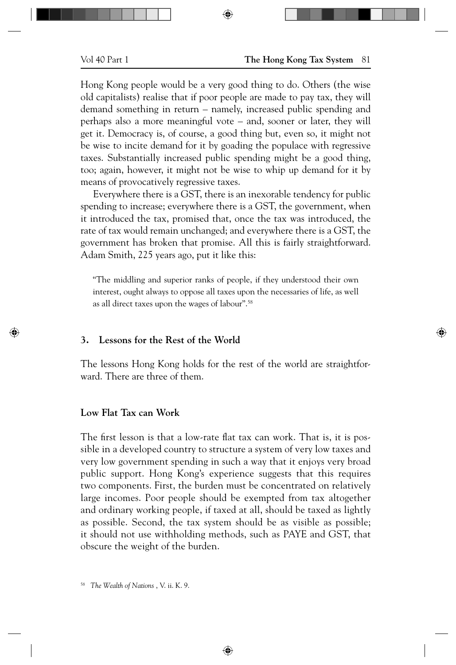Hong Kong people would be a very good thing to do. Others (the wise old capitalists) realise that if poor people are made to pay tax, they will demand something in return – namely, increased public spending and perhaps also a more meaningful vote – and, sooner or later, they will get it. Democracy is, of course, a good thing but, even so, it might not be wise to incite demand for it by goading the populace with regressive taxes. Substantially increased public spending might be a good thing, too; again, however, it might not be wise to whip up demand for it by means of provocatively regressive taxes.

⊕

Everywhere there is a GST, there is an inexorable tendency for public spending to increase; everywhere there is a GST, the government, when it introduced the tax, promised that, once the tax was introduced, the rate of tax would remain unchanged; and everywhere there is a GST, the government has broken that promise. All this is fairly straightforward. Adam Smith, 225 years ago, put it like this:

"The middling and superior ranks of people, if they understood their own interest, ought always to oppose all taxes upon the necessaries of life, as well as all direct taxes upon the wages of labour".58

### **3. Lessons for the Rest of the World**

The lessons Hong Kong holds for the rest of the world are straightforward. There are three of them.

### **Low Flat Tax can Work**

⊕

The first lesson is that a low-rate flat tax can work. That is, it is possible in a developed country to structure a system of very low taxes and very low government spending in such a way that it enjoys very broad public support. Hong Kong's experience suggests that this requires two components. First, the burden must be concentrated on relatively large incomes. Poor people should be exempted from tax altogether and ordinary working people, if taxed at all, should be taxed as lightly as possible. Second, the tax system should be as visible as possible; it should not use withholding methods, such as PAYE and GST, that obscure the weight of the burden.

⊕

<sup>58</sup> *The Wealth of Nations* , V. ii. K. 9.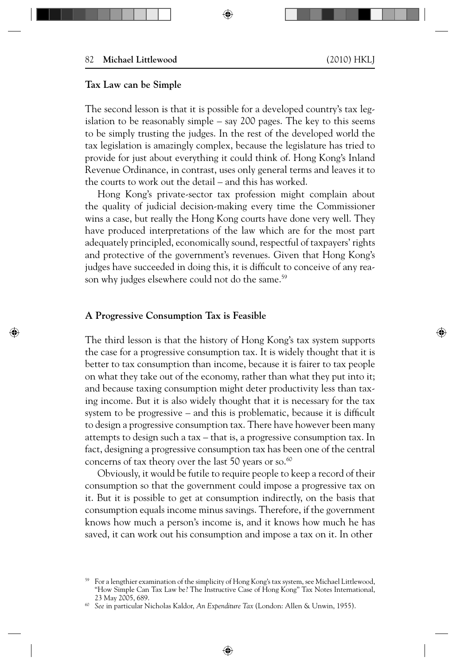⊕

# **Tax Law can be Simple**

The second lesson is that it is possible for a developed country's tax legislation to be reasonably simple – say 200 pages. The key to this seems to be simply trusting the judges. In the rest of the developed world the tax legislation is amazingly complex, because the legislature has tried to provide for just about everything it could think of. Hong Kong's Inland Revenue Ordinance, in contrast, uses only general terms and leaves it to the courts to work out the detail – and this has worked.

⊕

Hong Kong's private-sector tax profession might complain about the quality of judicial decision-making every time the Commissioner wins a case, but really the Hong Kong courts have done very well. They have produced interpretations of the law which are for the most part adequately principled, economically sound, respectful of taxpayers' rights and protective of the government's revenues. Given that Hong Kong's judges have succeeded in doing this, it is difficult to conceive of any reason why judges elsewhere could not do the same.<sup>59</sup>

## **A Progressive Consumption Tax is Feasible**

⊕

The third lesson is that the history of Hong Kong's tax system supports the case for a progressive consumption tax. It is widely thought that it is better to tax consumption than income, because it is fairer to tax people on what they take out of the economy, rather than what they put into it; and because taxing consumption might deter productivity less than taxing income. But it is also widely thought that it is necessary for the tax system to be progressive  $-$  and this is problematic, because it is difficult to design a progressive consumption tax. There have however been many attempts to design such a tax – that is, a progressive consumption tax. In fact, designing a progressive consumption tax has been one of the central concerns of tax theory over the last 50 years or so. $60$ 

Obviously, it would be futile to require people to keep a record of their consumption so that the government could impose a progressive tax on it. But it is possible to get at consumption indirectly, on the basis that consumption equals income minus savings. Therefore, if the government knows how much a person's income is, and it knows how much he has saved, it can work out his consumption and impose a tax on it. In other

<sup>59</sup> For a lengthier examination of the simplicity of Hong Kong's tax system, see Michael Littlewood, "How Simple Can Tax Law be? The Instructive Case of Hong Kong" Tax Notes International, 23 May 2005, 689.

<sup>60</sup> *See* in particular Nicholas Kaldor, *An Expenditure Tax* (London: Allen & Unwin, 1955).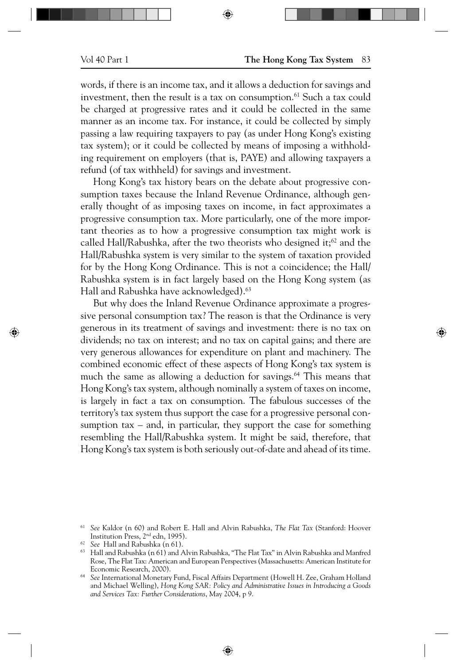#### Vol 40 Part 1 **The Hong Kong Tax System** 83

words, if there is an income tax, and it allows a deduction for savings and investment, then the result is a tax on consumption.<sup>61</sup> Such a tax could be charged at progressive rates and it could be collected in the same manner as an income tax. For instance, it could be collected by simply passing a law requiring taxpayers to pay (as under Hong Kong's existing tax system); or it could be collected by means of imposing a withholding requirement on employers (that is, PAYE) and allowing taxpayers a refund (of tax withheld) for savings and investment.

⊕

Hong Kong's tax history bears on the debate about progressive consumption taxes because the Inland Revenue Ordinance, although generally thought of as imposing taxes on income, in fact approximates a progressive consumption tax. More particularly, one of the more important theories as to how a progressive consumption tax might work is called Hall/Rabushka, after the two theorists who designed it; $62$  and the Hall/Rabushka system is very similar to the system of taxation provided for by the Hong Kong Ordinance. This is not a coincidence; the Hall/ Rabushka system is in fact largely based on the Hong Kong system (as Hall and Rabushka have acknowledged).<sup>63</sup>

But why does the Inland Revenue Ordinance approximate a progressive personal consumption tax? The reason is that the Ordinance is very generous in its treatment of savings and investment: there is no tax on dividends; no tax on interest; and no tax on capital gains; and there are very generous allowances for expenditure on plant and machinery. The combined economic effect of these aspects of Hong Kong's tax system is much the same as allowing a deduction for savings.<sup>64</sup> This means that Hong Kong's tax system, although nominally a system of taxes on income, is largely in fact a tax on consumption. The fabulous successes of the territory's tax system thus support the case for a progressive personal consumption tax – and, in particular, they support the case for something resembling the Hall/Rabushka system. It might be said, therefore, that Hong Kong's tax system is both seriously out-of-date and ahead of its time.

⊕

⊕

<sup>61</sup> *See* Kaldor (n 60) and Robert E. Hall and Alvin Rabushka, *The Flat Tax* (Stanford: Hoover Institution Press, 2nd edn, 1995).

<sup>62</sup> *See* Hall and Rabushka (n 61).

 $63$  Hall and Rabushka (n 61) and Alvin Rabushka, "The Flat Tax" in Alvin Rabushka and Manfred Rose, The Flat Tax: American and European Perspectives (Massachusetts: American Institute for Economic Research, 2000).

<sup>64</sup> *See* International Monetary Fund, Fiscal Affairs Department (Howell H. Zee, Graham Holland and Michael Welling), *Hong Kong SAR: Policy and Administrative Issues in Introducing a Goods and Services Tax: Further Considerations*, May 2004, p 9.